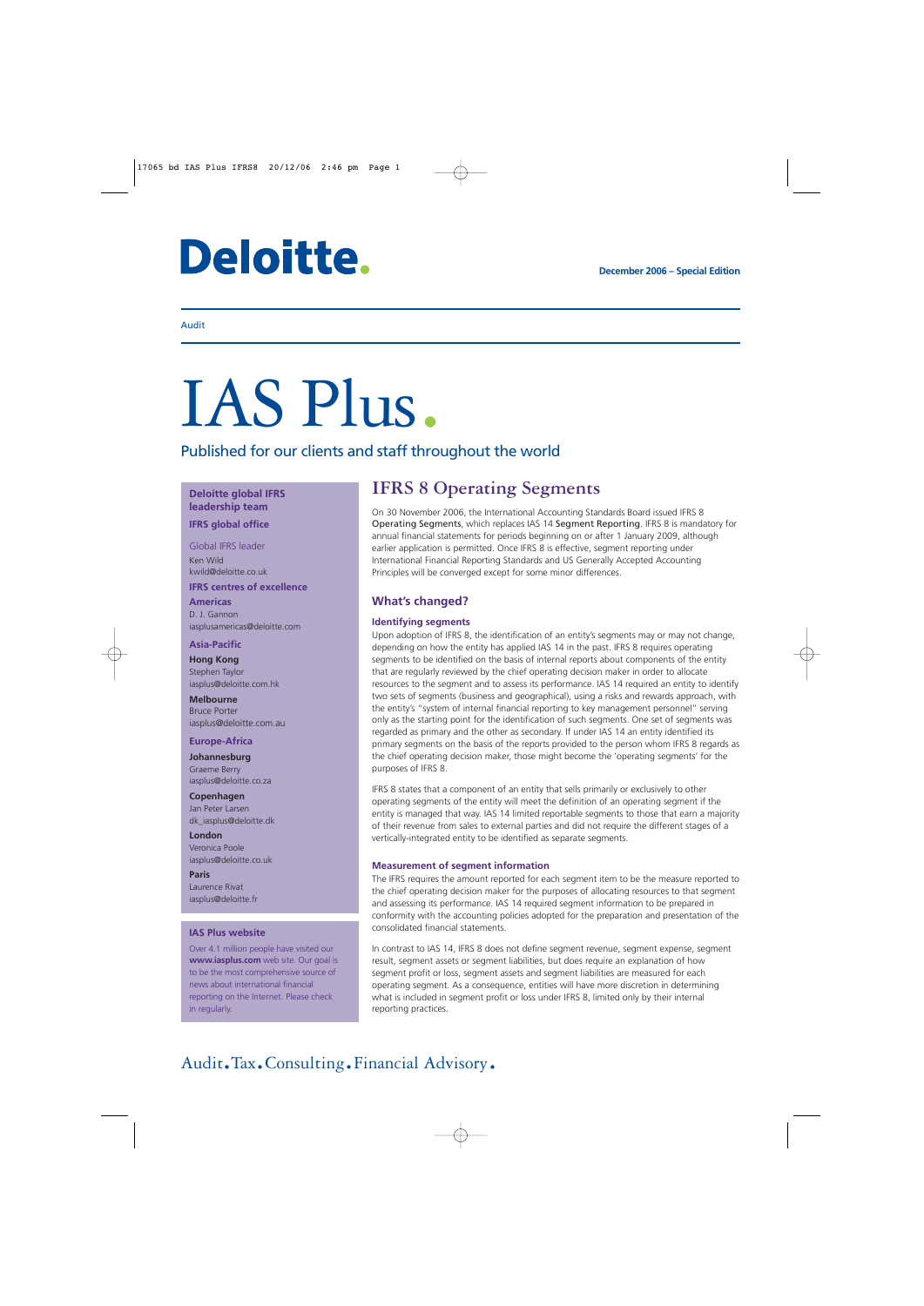# Deloitte.

#### Audit

# IAS Plus.

Published for our clients and staff throughout the world

**Deloitte global IFRS leadership team**

**IFRS global office**

Global IFRS leader Ken Wild kwild@deloitte.co.uk

**IFRS centres of excellence Americas**

D. J. Gannon iasplusamericas@deloitte.com

#### **Asia-Pacific**

**Hong Kong** Stephen Taylor iasplus@deloitte.com.hk

**Melbourne** Bruce Porter iasplus@deloitte.com.au

#### **Europe-Africa**

**Johannesburg** Graeme Berry iasplus@deloitte.co.za

**Copenhagen** Jan Peter Larsen [dk\\_iasplus@deloitte.dk](mailto:dk_iasplus@deloitte.dk)

**London** Veronica Poole iasplus@deloitte.co.uk

**Paris** Laurence Rivat iasplus@deloitte.fr

#### **IAS Plus website**

Over 4.1 million people have visited our **www.iasplus.com** web site. Our goal is to be the most comprehensive source of news about international financial reporting on the Internet. Please check in regularly.

### **IFRS 8 Operating Segments**

On 30 November 2006, the International Accounting Standards Board issued IFRS 8 Operating Segments, which replaces IAS 14 Segment Reporting. IFRS 8 is mandatory for annual financial statements for periods beginning on or after 1 January 2009, although earlier application is permitted. Once IFRS 8 is effective, segment reporting under International Financial Reporting Standards and US Generally Accepted Accounting Principles will be converged except for some minor differences.

#### **What's changed?**

#### **Identifying segments**

Upon adoption of IFRS 8, the identification of an entity's segments may or may not change, depending on how the entity has applied IAS 14 in the past. IFRS 8 requires operating segments to be identified on the basis of internal reports about components of the entity that are regularly reviewed by the chief operating decision maker in order to allocate resources to the segment and to assess its performance. IAS 14 required an entity to identify two sets of segments (business and geographical), using a risks and rewards approach, with the entity's "system of internal financial reporting to key management personnel" serving only as the starting point for the identification of such segments. One set of segments was regarded as primary and the other as secondary. If under IAS 14 an entity identified its primary segments on the basis of the reports provided to the person whom IFRS 8 regards as the chief operating decision maker, those might become the 'operating segments' for the purposes of IFRS 8.

IFRS 8 states that a component of an entity that sells primarily or exclusively to other operating segments of the entity will meet the definition of an operating segment if the entity is managed that way. IAS 14 limited reportable segments to those that earn a majority of their revenue from sales to external parties and did not require the different stages of a vertically-integrated entity to be identified as separate segments.

#### **Measurement of segment information**

The IFRS requires the amount reported for each segment item to be the measure reported to the chief operating decision maker for the purposes of allocating resources to that segment and assessing its performance. IAS 14 required segment information to be prepared in conformity with the accounting policies adopted for the preparation and presentation of the consolidated financial statements.

In contrast to IAS 14, IFRS 8 does not define segment revenue, segment expense, segment result, segment assets or segment liabilities, but does require an explanation of how segment profit or loss, segment assets and segment liabilities are measured for each operating segment. As a consequence, entities will have more discretion in determining what is included in segment profit or loss under IFRS 8, limited only by their internal reporting practices.

## Audit.Tax.Consulting.Financial Advisory.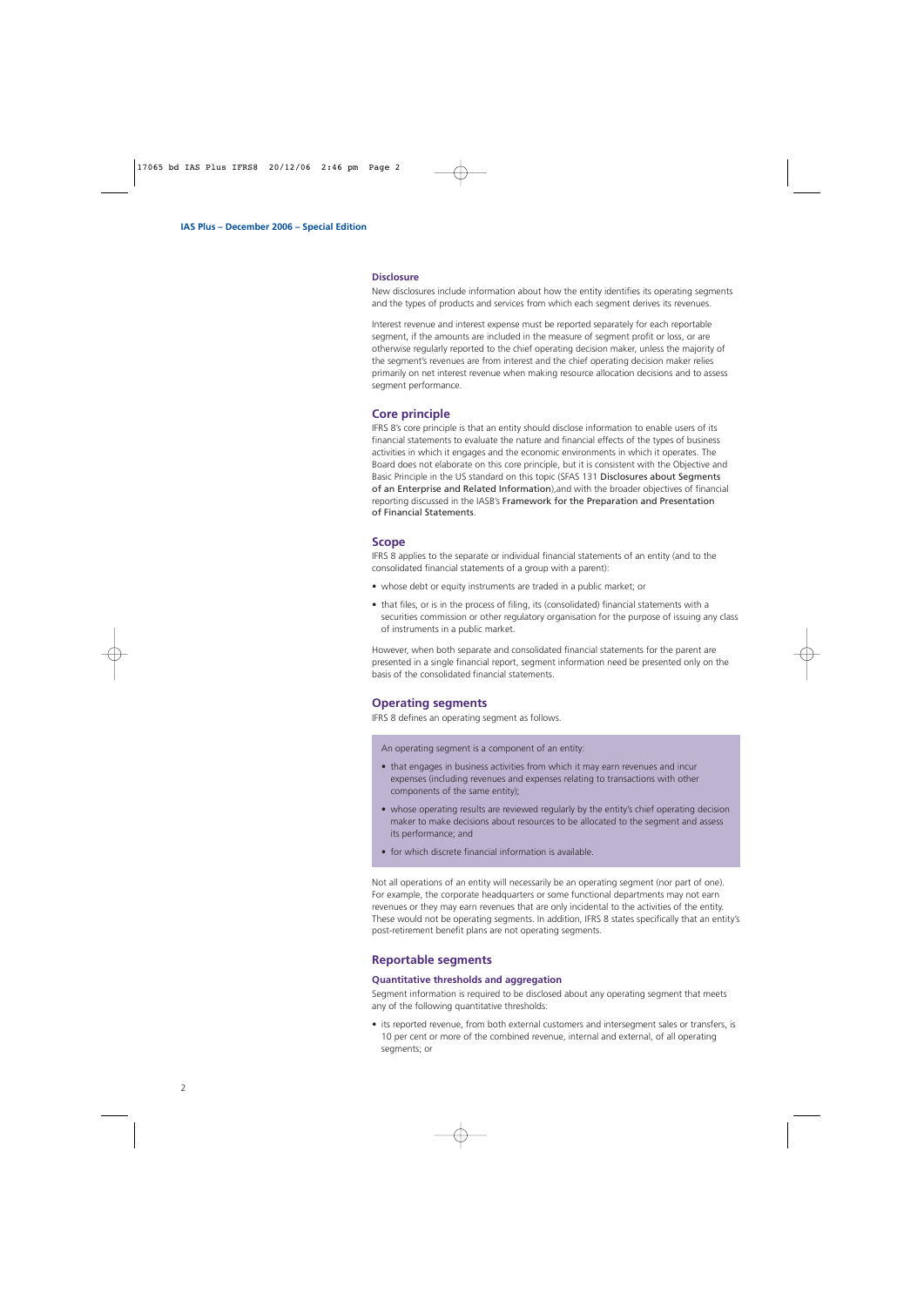#### **Disclosure**

New disclosures include information about how the entity identifies its operating segments and the types of products and services from which each segment derives its revenues.

Interest revenue and interest expense must be reported separately for each reportable segment, if the amounts are included in the measure of segment profit or loss, or are otherwise regularly reported to the chief operating decision maker, unless the majority of the segment's revenues are from interest and the chief operating decision maker relies primarily on net interest revenue when making resource allocation decisions and to assess segment performance.

#### **Core principle**

IFRS 8's core principle is that an entity should disclose information to enable users of its financial statements to evaluate the nature and financial effects of the types of business activities in which it engages and the economic environments in which it operates. The Board does not elaborate on this core principle, but it is consistent with the Objective and Basic Principle in the US standard on this topic (SFAS 131 Disclosures about Segments of an Enterprise and Related Information),and with the broader objectives of financial reporting discussed in the IASB's Framework for the Preparation and Presentation of Financial Statements.

#### **Scope**

IFRS 8 applies to the separate or individual financial statements of an entity (and to the consolidated financial statements of a group with a parent):

- whose debt or equity instruments are traded in a public market; or
- that files, or is in the process of filing, its (consolidated) financial statements with a securities commission or other regulatory organisation for the purpose of issuing any class of instruments in a public market.

However, when both separate and consolidated financial statements for the parent are presented in a single financial report, segment information need be presented only on the basis of the consolidated financial statements.

#### **Operating segments**

IFRS 8 defines an operating segment as follows.

An operating segment is a component of an entity:

- that engages in business activities from which it may earn revenues and incur expenses (including revenues and expenses relating to transactions with other components of the same entity);
- whose operating results are reviewed regularly by the entity's chief operating decision maker to make decisions about resources to be allocated to the segment and assess its performance; and
- for which discrete financial information is available.

Not all operations of an entity will necessarily be an operating segment (nor part of one). For example, the corporate headquarters or some functional departments may not earn revenues or they may earn revenues that are only incidental to the activities of the entity. These would not be operating segments. In addition, IFRS 8 states specifically that an entity's post-retirement benefit plans are not operating segments.

#### **Reportable segments**

#### **Quantitative thresholds and aggregation**

Segment information is required to be disclosed about any operating segment that meets any of the following quantitative thresholds:

• its reported revenue, from both external customers and intersegment sales or transfers, is 10 per cent or more of the combined revenue, internal and external, of all operating segments; or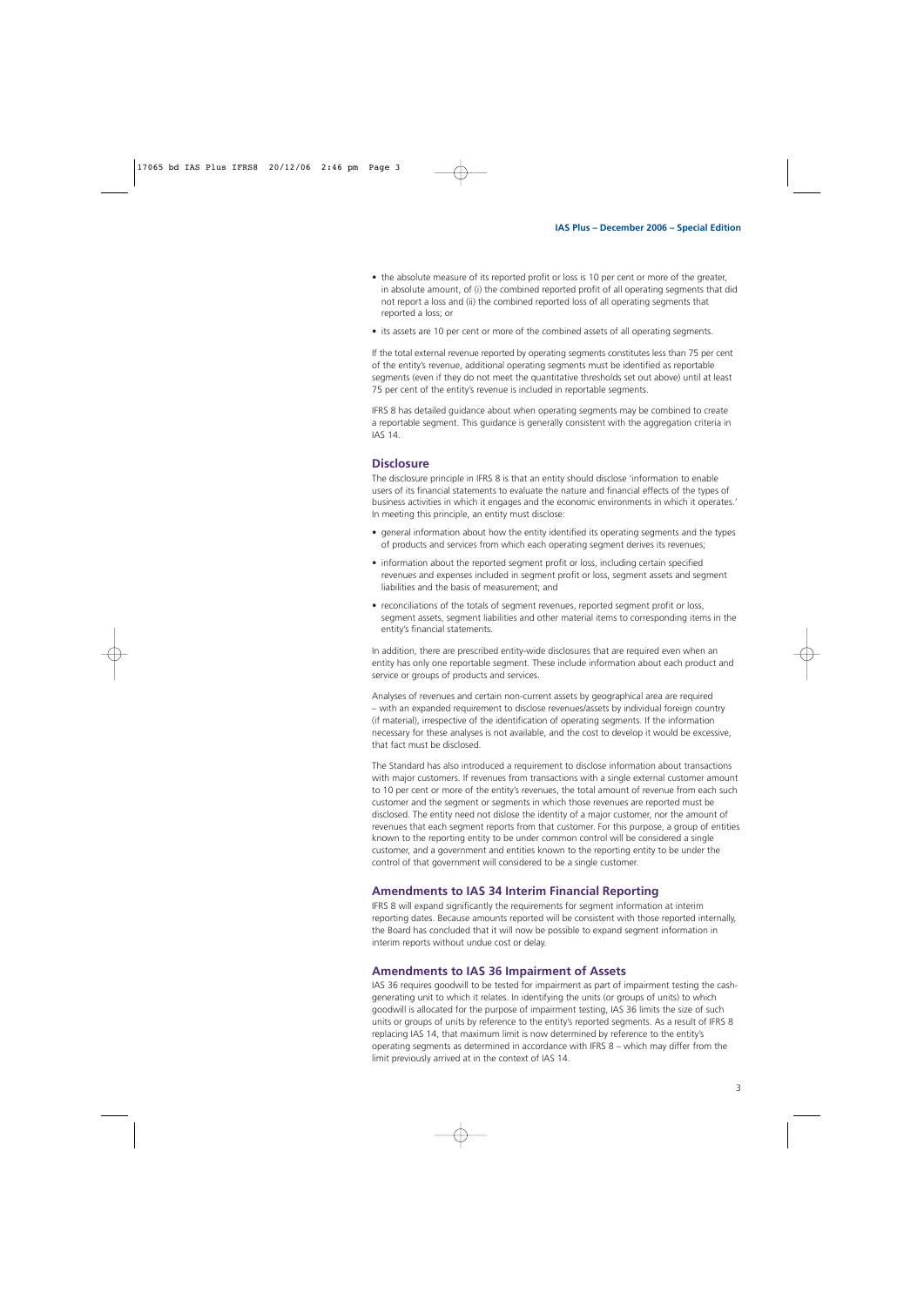- the absolute measure of its reported profit or loss is 10 per cent or more of the greater, in absolute amount, of (i) the combined reported profit of all operating segments that did not report a loss and (ii) the combined reported loss of all operating segments that reported a loss; or
- its assets are 10 per cent or more of the combined assets of all operating segments.

If the total external revenue reported by operating segments constitutes less than 75 per cent of the entity's revenue, additional operating segments must be identified as reportable segments (even if they do not meet the quantitative thresholds set out above) until at least 75 per cent of the entity's revenue is included in reportable segments.

IFRS 8 has detailed guidance about when operating segments may be combined to create a reportable segment. This guidance is generally consistent with the aggregation criteria in IAS 14.

#### **Disclosure**

The disclosure principle in IFRS 8 is that an entity should disclose 'information to enable users of its financial statements to evaluate the nature and financial effects of the types of business activities in which it engages and the economic environments in which it operates.' In meeting this principle, an entity must disclose:

- general information about how the entity identified its operating segments and the types of products and services from which each operating segment derives its revenues;
- information about the reported segment profit or loss, including certain specified revenues and expenses included in segment profit or loss, segment assets and segment liabilities and the basis of measurement; and
- reconciliations of the totals of segment revenues, reported segment profit or loss, segment assets, segment liabilities and other material items to corresponding items in the entity's financial statements.

In addition, there are prescribed entity-wide disclosures that are required even when an entity has only one reportable segment. These include information about each product and service or groups of products and services.

Analyses of revenues and certain non-current assets by geographical area are required – with an expanded requirement to disclose revenues/assets by individual foreign country (if material), irrespective of the identification of operating segments. If the information necessary for these analyses is not available, and the cost to develop it would be excessive, that fact must be disclosed.

The Standard has also introduced a requirement to disclose information about transactions with major customers. If revenues from transactions with a single external customer amount to 10 per cent or more of the entity's revenues, the total amount of revenue from each such customer and the segment or segments in which those revenues are reported must be disclosed. The entity need not dislose the identity of a major customer, nor the amount of revenues that each segment reports from that customer. For this purpose, a group of entities known to the reporting entity to be under common control will be considered a single customer, and a government and entities known to the reporting entity to be under the control of that government will considered to be a single customer.

#### **Amendments to IAS 34 Interim Financial Reporting**

IFRS 8 will expand significantly the requirements for segment information at interim reporting dates. Because amounts reported will be consistent with those reported internally, the Board has concluded that it will now be possible to expand segment information in interim reports without undue cost or delay.

#### **Amendments to IAS 36 Impairment of Assets**

IAS 36 requires goodwill to be tested for impairment as part of impairment testing the cashgenerating unit to which it relates. In identifying the units (or groups of units) to which goodwill is allocated for the purpose of impairment testing, IAS 36 limits the size of such units or groups of units by reference to the entity's reported segments. As a result of IFRS 8 replacing IAS 14, that maximum limit is now determined by reference to the entity's operating segments as determined in accordance with IFRS 8 – which may differ from the limit previously arrived at in the context of IAS 14.